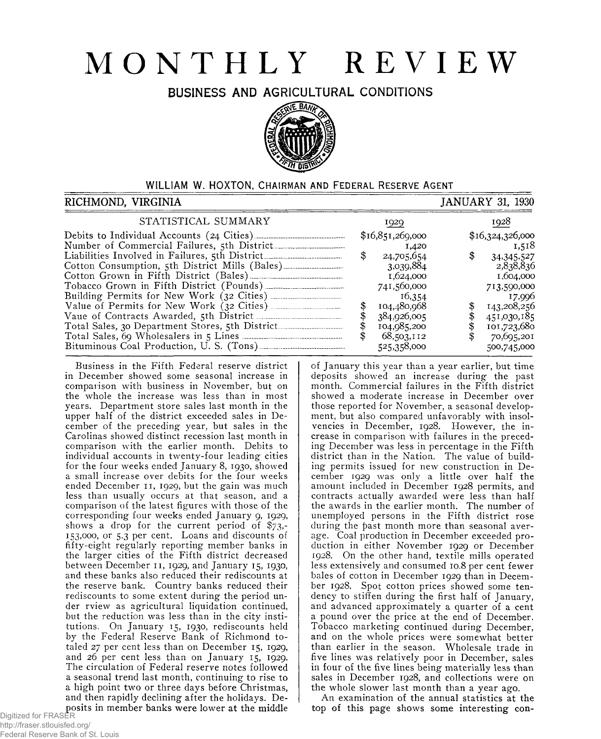# **MONTHLY REVIEW**

**BUSINESS AND AGRICULTURAL CONDITIONS**



## WILLIAM W. HOXTON, CHAIRMAN AND FEDERAL RESERVE AGENT

#### RICHMOND, VIRGINIA 1930 (PARTICLE STATES AND A RICHMOND, VIRGINIA STATISTICAL SUMMARY 1929 1928 Debits to Individual Accounts (24 Cities)\_\_\_\_\_\_\_\_\_\_\_\_ \_\_\_\_\_\_\_ \$16,851,269,000 \$16,324,326,000 Number of Commercial Failures, 5th District\_\_\_\_\_\_\_\_ 1,420 1,518 Liabilities Involved in Failures, 5th District\_\_\_\_\_\_\_\_\_\_\_\_\_\_\_\_\_\_\_\_\_\_\_\_\_\_\_\_\_\_\_\_\_\_ \$ 24,705,654 \$ 34.345,527 Cotton Consumption, 5th District Mills (Bales)\_\_\_\_\_\_ 3,039,884 2,838,836 Cotton Grown in Fifth District (Bales)\_\_\_\_\_\_\_\_\_\_\_\_\_ 1,624,000 1,604,000 Tobacco Grown in Fifth District (Pounds)\_\_\_\_\_\_\_\_\_\_\_\_ \_\_\_ \_ 741,560,000 713,590,000 Building Permits for New Work (32 Cities)\_\_\_\_\_\_\_\_ 16,354 17,996 Value of Permits for New Work (32 Cities)\_\_\_\_\_\_\_\_ --------- \$ 104,480,968 \$ 143,208,256 Vaue of Contracts Awarded, 5th District\_\_\_\_\_\_\_\_\_\_\_\_--------- \$ 384,926,005 \$ 451,030,185 Total Sales, 30 Department Stores, 5th District\_\_\_\_\_\_\_--------- \$ 104,985,200 \$ 101,723,680 Total Sales, 69 Wholesalers in 5 Lines\_\_\_\_\_\_\_\_\_\_\_\_\_\_ --------- \$ 68,503,112 \$ 70,695,201 Bituminous Coal Production, U. S. (Tons)\_\_\_\_\_\_\_\_\_\_\_ 525.358,ooo 500,745,000

Business in the Fifth Federal reserve district in December showed some seasonal increase in comparison with business in November, but on the whole the increase was less than in most years. Department store sales last month in the upper half of the district exceeded sales in December of the preceding year, but sales in the Carolinas showed distinct recession last month in comparison with the earlier month. Debits to individual accounts in twenty-four leading cities for the four weeks ended January 8, 1930, showed a small increase over debits for the four weeks ended December 11, 1929, but the gain was much less than usually occurs at that season, and a comparison of the latest figures with those of the corresponding four weeks ended January 9, 1929, shows a drop for the current period of \$73,- 153,000, or 5.3 per cent. Loans and discounts of fifty-eight regularly reporting member banks in the larger cities of the Fifth district decreased between December 11, 1929, and January 15, 1930, and these banks also reduced their rediscounts at the reserve bank. Country banks reduced their rediscounts to some extent during the period under rview as agricultural liquidation continued, but the reduction was less than in the city institutions. On January 15, 1930, rediscounts held by the Federal Reserve Bank of Richmond totaled 27 per cent less than on December 15, 1929, and 26 per cent less than on January 15, 1929. The circulation of Federal reserve notes followed a seasonal trend last month, continuing to rise to a high point two or three days before Christmas, and then rapidly declining after the holidays. Deposits in member banks were lower at the middle

month. Commercial failures in the Fifth district showed a moderate increase in December over those reported for November, a seasonal development, but also compared unfavorably with insolvencies in December, 1928. However, the increase in comparison with failures in the preceding December was less in percentage in the Fifth district than in the Nation. The value of building permits issued for new construction in December 1929 was only a little over half the amount included in December 1928 permits, and contracts actually awarded were less than half the awards in the earlier month. The number of unemployed persons in the Fifth district rose during the past month more than seasonal average. Coal production in December exceeded production in either November 1929 or December 1928. On the other hand, textile mills operated less extensively and consumed 10.8 per cent fewer bales of cotton in December 1929 than in December 1928. Spot cotton prices showed some tendency to stiffen during the first half of January, and advanced approximately a quarter of a cent a pound over the price at the end of December. Tobacco marketing continued during December, and on the whole prices were somewhat better than earlier in the season. Wholesale trade in five lines was relatively poor in December, sales in four of the five lines being materially less than sales in December 1928, and collections were on the whole slower last month than a year ago.

of January this year than a year earlier, but time deposits showed an increase during the past

An examination of the annual statistics at the top of this page shows some interesting con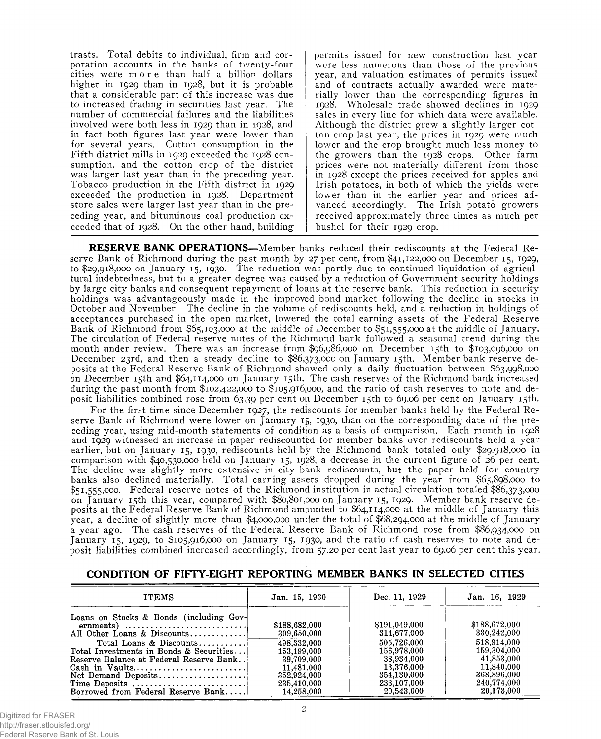trasts. Total debits to individual, firm and corporation accounts in the banks of twenty-four cities were more than half a billion dollars higher in 1929 than in 1928, but it is probable that a considerable part of this increase was due to increased trading in securities last year. The number of commercial failures and the liabilities involved were both less in 1929 than in 1928, and in fact both figures last year were lower than for several years. Cotton consumption in the Fifth district mills in 1929 exceeded the 1928 consumption, and the cotton crop of the district was larger last year than in the preceding year. Tobacco production in the Fifth district in 1929 exceeded the production in 1928. Department store sales were larger last year than in the preceding year, and bituminous coal production exceeded that of 1928. On the other hand, building permits issued for new construction last year were less numerous than those of the previous year, and valuation estimates of permits issued and of contracts actually awarded were materially lower than the corresponding figures in 1928. Wholesale trade showed declines in 1929 sales in every line for which data were available. Although the district grew a slightly larger cotton crop last year, the prices in 1929 were much lower and the crop brought much less money to the growers than the 1928 crops. Other farm prices were not materially different from those in 1928 except the prices received for apples and Irish potatoes, in both of which the yields were lower than in the earlier year and prices advanced accordingly. The Irish potato growers received approximately three times as much per bushel for their 1929 crop.

**RESERVE BANK OPERATIONS**—Member banks reduced their rediscounts at the Federal Reserve Bank of Richmond during the past month by 27 per cent, from \$41,122,000 on December 15, 1929, to \$29,918,000 on January 15, 1930. The reduction was partly due to continued liquidation of agricultural indebtedness, but to a greater degree was caused by a reduction of Government security holdings by large city banks and consequent repayment of loans at the reserve bank. This reduction in security holdings was advantageously made in the improved bond market following the decline in stocks in October and November. The decline in the volume of rediscounts held, and a reduction in holdings of acceptances purchased in the open market, lowered the total earning assets of the Federal Reserve Bank of Richmond from \$65,103,000 at the middle of December to \$5 1,555,000 at the middle of January. The circulation of Federal reserve notes of the Richmond bank followed a seasonal trend during the month under review. There was an increase from \$96,986,000 on December 15th to \$103,096,000 on December 23rd, and then a steady decline to \$86,373,000 on January 15th. Member bank reserve deposits at the Federal Reserve Bank of Richmond showed only a daily fluctuation between \$63,998,000 on December 15th and \$64,114,000 on January 15th. The cash reserves of the Richmond bank increased during the past month from \$102,422,000 to \$105,916,000, and the ratio of cash reserves to note and deposit liabilities combined rose from 63.39 per cent on December 15th to 69.06 per cent on January 15th.

For the first time since December 1927, the rediscounts for member banks held by the Federal Reserve Bank of Richmond were lower on January 15, 1930, than on the corresponding date of the preceding year, using mid-month statements of condition as a basis of comparison. Each month in 1928 and 1929 witnessed an increase in paper rediscounted for member banks over rediscounts held a year earlier, but on January 15, 1930, rediscounts held by the Richmond bank totaled only \$29,918,000 in comparison with \$40,530,000 held on January 15, 1928, a decrease in the current figure of 26 per cent. The decline was slightly more extensive in city bank rediscounts, but the paper held for country banks also declined materially. Total earning assets dropped during the year from \$65,898,000 to \$51,555,000. Federal reserve notes of the Richmond institution in actual circulation totaled \$86,373,000 on January 15th this year, compared with \$80,801,000 on January 15, 1929. Member bank reserve deposits at the Federal Reserve Bank of Richmond amounted to \$64,114,000 at the middle of January this year, a decline of slightly more than \$4,000,000 under the total of \$68,294,000 at the middle of January a year ago. The cash reserves of the Federal Reserve Bank of Richmond rose from \$86,934,000 on January 15, 1929, to \$105,916,000 on January 15, 1930, and the ratio of cash reserves to note and deposit liabilities combined increased accordingly, from 57.20 per cent last year to 69.06 per cent this year.

## **CONDITION OF FIFTY-EIGHT REPORTING MEMBER BANKS IN SELECTED CITIES**

| <b>ITEMS</b>                                                                                                                                | Jan. 15, 1930                | Dec. 11, 1929                | Jan. 16, 1929                |
|---------------------------------------------------------------------------------------------------------------------------------------------|------------------------------|------------------------------|------------------------------|
| Loans on Stocks & Bonds (including Gov-<br>ernments) $\dots \dots \dots \dots \dots \dots \dots \dots \dots$<br>All Other Loans & Discounts | \$188,682,000<br>309,650,000 | \$191,049,000<br>314,677,000 | \$188,672,000<br>330,242,000 |
| Total Loans & Discounts                                                                                                                     | 498,332,000                  | 505.726.000                  | 518,914,000                  |
| Total Investments in Bonds & Securities                                                                                                     | 153.199.000                  | 156,978,000                  | 159,304,000                  |
| Reserve Balance at Federal Reserve Bank                                                                                                     | 39.709.000                   | 38,934,000                   | 41,853,000                   |
|                                                                                                                                             | 11.481.000                   | 13.376.000                   | 11,840,000                   |
| Net Demand Deposits                                                                                                                         | 352,924,000                  | 354.130.000                  | 368,896,000                  |
| Time Deposits                                                                                                                               | 235.410.000                  | 233,107,000                  | 240,774,000                  |
| Borrowed from Federal Reserve Bank                                                                                                          | 14,258,000                   | 20,543,000                   | 20,173,000                   |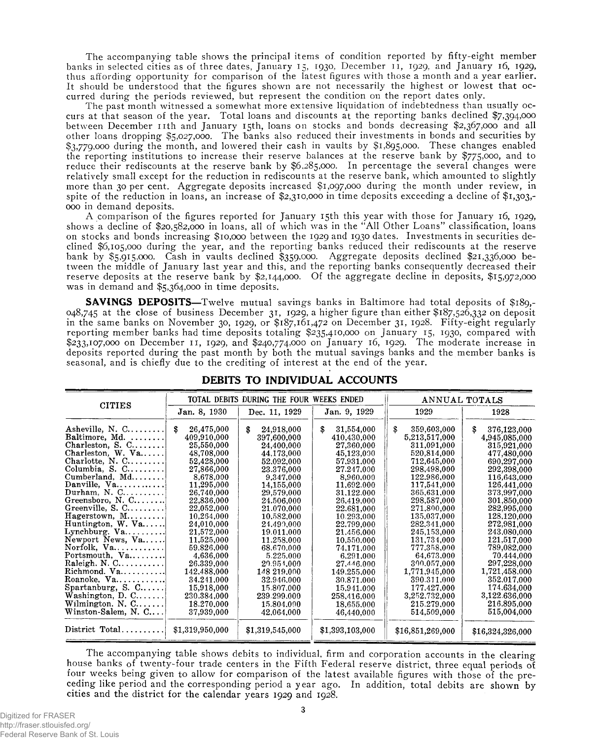The accompanying table shows the principal items of condition reported by fifty-eight member banks in selected cities as of three dates, January 15, 1930, December 11, 1929, and January 16, 1929, thus affording opportunity for comparison of the latest figures with those a month and a year earlier. It should be understood that the figures shown are not necessarily the highest or lowest that occurred during the periods reviewed, but represent the condition on the report dates only.

The past month witnessed a somewhat more extensive liquidation of indebtedness than usually occurs at that season of the year. Total loans and discounts at the reporting banks declined \$7,394,000 between December nth and January 15th, loans on stocks and bonds decreasing \$2,367,000 and all other loans dropping \$5,027,000. The banks also reduced their investments in bonds and securities by \$3,779,000 during the month, and lowered their cash in vaults by \$1,895,000. These changes enabled the reporting institutions to increase their reserve balances at the reserve bank by \$775,000, and to reduce their rediscounts at the reserve bank by \$6,285,000. In percentage the several changes were relatively small except for the reduction in rediscounts at the reserve bank, which amounted to slightly more than 30 per cent. Aggregate deposits increased \$1 ,097,000 during the month under review, in spite of the reduction in loans, an increase of \$2,310,000 in time deposits exceeding a decline of \$1,303,- 000 in demand deposits.

A comparison of the figures reported for January 15th this year with those for January 16, 1929, shows a decline of \$20,582,000 in loans, all of which was in the "All Other Loans" classification, loans on stocks and bonds increasing \$10,000 between the 1929 and 1930 dates. Investments in securities declined \$6,105,000 during the year, and the reporting banks reduced their rediscounts at the reserve bank by \$5,915,000. Cash in vaults declined \$359,000. Aggregate deposits declined \$2 1,336,000 between the middle of January last year and this, and the reporting banks consequently decreased their reserve deposits at the reserve bank by \$2,144,000. Of the aggregate decline in deposits, \$15,972,000 was in demand and \$5,364,000 in time deposits.

**SAVINGS DEPOSITS**—Twelve mutual savings banks in Baltimore had total deposits of \$189,-048,745 at the close of business December 31, 1929, a higher figure than either \$187,526,332 on deposit in the same banks on November 30, 1929, or \$187,161,472 on December 31, 1928. Fifty-eight regularly reporting member banks had time deposits totaling \$235,410,000 on January 15, 1930, compared with \$233,107,000 on December 11, 1929, and \$240,774,000 on January 16, 1929. The moderate increase in deposits reported during the past month by both the mutual savings banks and the member banks is seasonal, and is chiefly due to the crediting of interest at the end of the year.

| <b>CITIES</b>                   |                  | TOTAL DEBITS DURING THE FOUR WEEKS ENDED | ANNUAL TOTALS    |                   |                   |
|---------------------------------|------------------|------------------------------------------|------------------|-------------------|-------------------|
|                                 | Jan. 8, 1930     | Dec. 11, 1929                            | Jan. 9, 1929     | 1929              | 1928              |
| Asheville, N. C                 | 26,475,000<br>-S | 24.918,000<br>\$                         | \$<br>31,554,000 | \$<br>359.603.000 | \$<br>376,123,000 |
| Baltimore, Md.                  | 409,910,000      | 397,600,000                              | 410,430,000      | 5,213,517,000     | 4,945,085,000     |
| Charleston, S. C                | 25,550,000       | 24,400,000                               | 27,360,000       | 311,091,000       | 315,921,000       |
| Charleston, $W.$ Va             | 48,708,000       | 44,173,000                               | 45,123,000       | 520,814,000       | 477,480,000       |
| Charlotte, N. C                 | 52,428,000       | 52.092,000                               | 57.931.000       | 712,645,000       | 690,297,000       |
| Columbia, S. $C_1, \ldots, C_n$ | 27,866,000       | 23.376,000                               | 27.247,000       | 298,498,000       | 292,398,000       |
| Cumberland, Md                  | 8.678.000        | 9.347.000                                | 8,960,000        | 122.986.000       | 116,643,000       |
| Danville, Va                    | 11,295,000       | 14,155,000                               | 11,692.000       | 117,541,000       | 126,441,000       |
| Durham, N. C                    | 26.740.000       | 29,579,000                               | 31,122,000       | 365.631.000       | 373,997,000       |
| Greensboro, N. C                | 22,836,000       | 24.506.000                               | 26,419,000       | 298,587,000       | 301,850,000       |
| Greenville, S. C                | 22,052,000       | 21.070,000                               | 22,681,000       | 271,800,000       | 282,995,000       |
| $Hagerstown, M \ldots$          | 10.264,000       | 10.582,000                               | 10.293,000       | 135,037,000       | 128,120,000       |
| Huntington, $W.$ Va             | 24,010,000       | 24.499.000                               | 22.799,000       | 282,341,000       | 272,981,000       |
| Lynchburg. $Va$                 | 21,572,000       | 19.011.000                               | 21.456.000       | 245,153,000       | 243,080,000       |
| Newport News, Va                | 11,525,000       | 11.258.000                               | 10.550.000       | 131,734,000       | 121,517,000       |
| Norfolk, Va                     | 59.826,000       | 68.670.000                               | 74,171,000       | 777,358,000       | 789,082,000       |
| Portsmouth, Va                  | 4,636,000        | 5.225.000                                | 6,291,000        | 64,673,000        | 70,444,000        |
| Raleigh. N. $C_1, \ldots, C_n$  | 26.339,000       | 20.951.000                               | 27.446.000       | 390.057.000       | 297,228,000       |
| Richmond. Va                    | 142,488,000      | 148 219,000                              | 149.255.000      | 1,771,945,000     | 1,721,458,000     |
| Roanoke, $Va$                   | 34.241.000       | 32.946.000                               | 30.871.000       | 390.311.000       | 352,017,000       |
| Spartanburg, S. $C$             | 15,918,000       | 15.807.000                               | 15.941.000       | 177.427.000       | 174.634,000       |
| $\hat{W}$ ashington, D. C       | 230.384,000      | 239.299.000                              | 258,416,000      | 3,252,732,000     | 3,122.636,000     |
| Wilmington. $N. C$              | 18.270,000       | 15.804.000                               | 18,655,000       | 215.279.000       | 216.895,000       |
| Winston-Salem. N. C             | 37,939,000       | 42.064.000                               | 46,440,000       | 514,509,000       | 515,004,000       |
| District Total                  | \$1,319,950,000  | \$1,319,545,000                          | \$1,393,103,000  | \$16,851,269,000  | \$16,324,326,000  |

#### **DEBITS TO INDIVIDUAL ACCOUNTS**

The accompanying table shows debits to individual, firm and corporation accounts in the clearing house banks of twenty-four trade centers in the Fifth Federal reserve district, three equal periods of four weeks being given to allow for comparison of the latest available figures with those of the preceding like period and the corresponding period a *y* ear ago. In addition, total debits are shown by cities and the district for the calendar years 1929 and 1928.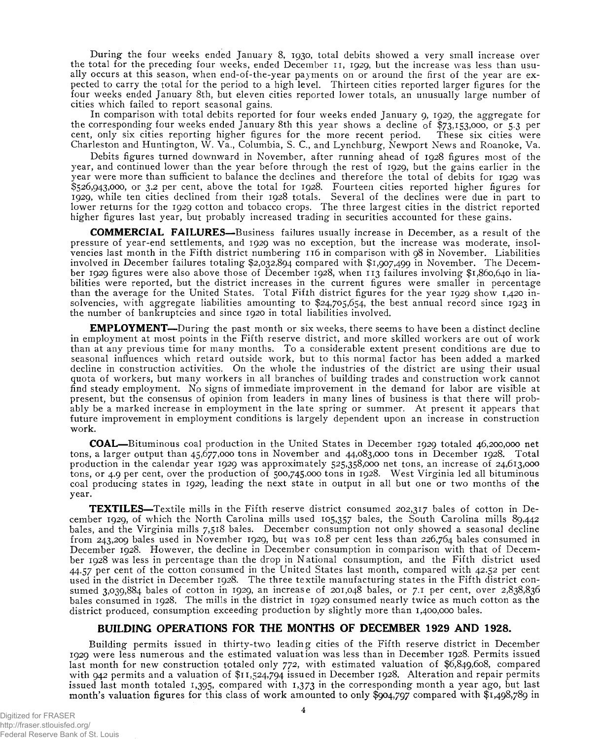During the four weeks ended January 8, 1930, total debits showed a very small increase over the total for the preceding four weeks, ended December 11, 1929, but the increase was less than usually occurs at this season, when end-of-the-year payments on or around the first of the year are expected to carry the total for the period to a high level. Thirteen cities reported larger figures for the four weeks ended January 8th, but eleven cities reported lower totals, an unusually large number of cities which failed to report seasonal gains.

In comparison with total debits reported for four weeks ended January 9, 1929, the aggregate for the corresponding four weeks ended January 8th this year shows a decline of \$73,153,000, or 5.3 per cent, only six cities reporting higher figures for the more recent period. These six cities were Charleston and Huntington, W. Va., Columbia, S. C., and Lynchburg, Newport News and Roanoke, Va.

Debits figures turned downward in November, after running ahead of 1928 figures most of the year, and continued lower than the year before through the rest of 1929, but the gains earlier in the year were more than sufficient to balance the declines and therefore the total of debits for 1929 was \$526,943,000, or 3.2 per cent, above the total for 1928. Fourteen cities reported higher figures for 1929, while ten cities declined from their 1928 totals. Several of the declines were due in part to lower returns for the 1929 cotton and tobacco crops. The three largest cities in the district reported higher figures last year, but probably increased trading in securities accounted for these gains.

**COMMERCIAL FAILURES**—Business failures usually increase in December, as a result of the pressure of year-end settlements, and 1929 was no exception, but the increase was moderate, insolvencies last month in the Fifth district numbering 116 in comparison with 98 in November. Liabilities involved in December failures totaling \$2,032,894 compared with \$1,907,499 in November. The December 1929 figures were also above those of December 1928, when 113 failures involving \$1,860,640 in liabilities were reported, but the district increases in the current figures were smaller in percentage than the average for the United States. Total Fifth district figures for the year 1929 show 1,420 insolvencies, with aggregate liabilities amounting to \$24,705,654, the best annual record since 1923 in the number of bankruptcies and since 1920 in total liabilities involved.

**EMPLOYMENT—**During the past month or six weeks, there seems to have been a distinct decline in employment at most points in the Fifth reserve district, and more skilled workers are out of work than at any previous time for many months. To a considerable extent present conditions are due to seasonal influences which retard outside work, but to this normal factor has been added a marked decline in construction activities. On the whole the industries of the district are using their usual quota of workers, but many workers in all branches of building trades and construction work cannot find steady employment. No signs of immediate improvement in the demand for labor are visible at present, but the consensus of opinion from leaders in many lines of business is that there will probably be a marked increase in employment in the late spring or summer. At present it appears that future improvement in employment conditions is largely dependent upon an increase in construction work.

**COAL**—Bituminous coal production in the United States in December 1929 totaled 46,200,000 net tons, a larger output than 45,677,000 tons in November and 44,083,000 tons in December 1928. Total production in the calendar year 1929 was approximately 525,358,000 net tons, an increase of 24,613,000 tons, or 4.9 per cent, over the production of 500,745,000 tons in 1928. West Virginia led all bituminous coal producing states in 1929, leading the next state in output in all but one or two months of the year.

**TEXTILES**—Textile mills in the Fifth reserve district consumed 202,317 bales of cotton in December 1929, of which the North Carolina mills used 105,357 bales, the South Carolina mills 89,442 bales, and the Virginia mills 7,518 bales. December consumption not only showed a seasonal decline from 243,209 bales used in November 1929, but was 10.8 per cent less than 226,764 bales consumed in December 1928. However, the decline in December consumption in comparison with that of December 1928 was less in percentage than the drop in National consumption, and the Fifth district used 44.57 per cent of the cotton consumed in the United States last month, compared with 42.52 per cent used in the district in December 1928. The three textile manufacturing states in the Fifth district consumed 3,039,884 bales of cotton in 1929, an increase of 201,048 bales, or 7.1 per cent, over 2,838,836 bales consumed in 1928. The mills in the district in 1929 consumed nearly twice as much cotton as the district produced, consumption exceeding production by slightly more than 1,400,000 bales.

#### **BUILDING OPERATIONS FOR THE MONTHS OF DECEMBER 1929 AND 1928.**

Building permits issued in thirty-two leading cities of the Fifth reserve district in December 1929 were less numerous and the estimated valuation was less than in December 1928. Permits issued last month for new construction totaled only 772, with estimated valuation of \$6,849,608, compared with 942 permits and a valuation of \$11,524,794 issued in December 1928. Alteration and repair permits issued last month totaled 1,395, compared with 1,373 in the corresponding month a year ago, but last month's valuation figures for this class of work amounted to only \$904,797 compared with \$1,498,789 in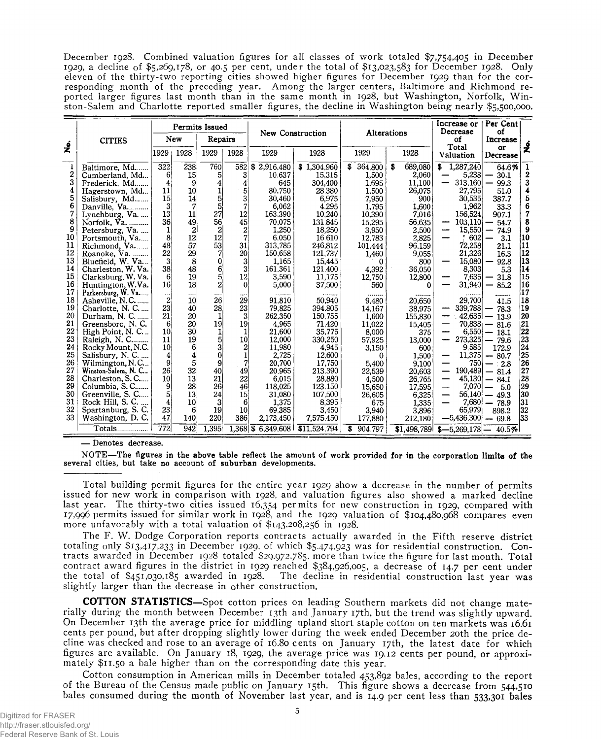December 1928. Combined valuation figures for all classes of work totaled \$7,754,405 in December 1929, a decline of \$5,269,178, or 40.5 per cent, under the total of \$13 ,023,583 for December 1928. Only eleven of the thirty-two reporting cities showed higher figures for December 1929 than for the corresponding month of the preceding year. Among the larger centers, Baltimore and Richmond reported larger figures last month than in the same month in 1928, but Washington, Norfolk, Winston-Salem and Charlotte reported smaller figures, the decline in Washington being nearly \$5,500,000,

|                    |                              |                 |                 | Permits Issued |                         |                    |              |              |              | Increase or<br>Decrease | Per Cent<br>οf                   |                  |
|--------------------|------------------------------|-----------------|-----------------|----------------|-------------------------|--------------------|--------------|--------------|--------------|-------------------------|----------------------------------|------------------|
|                    | <b>CITIES</b>                |                 | New             | Repairs        |                         | New Construction   |              |              | Alterations  | οf                      | Increase                         |                  |
| $\dot{\mathbf{z}}$ |                              | 1929            | 1928            | 1929           | 1928                    | 1929               | 1928         | 1929         | 1928         | Total<br>Valuation      | or<br>Decrease                   | ż                |
| 1                  | Baltimore, Md.               | 322             | 238             | 760            | 582                     | \$2.916.480        | \$1,304,960  | 364,800<br>S | 689,080<br>s | 1,287,240<br>\$.        | 64.6%                            | 1                |
| 2                  | Cumberland, Md               | 6 <sup>1</sup>  | 15              | 5              | 3 <sup>1</sup>          | 10.637             | 15,315       | 1,500        | 2,060        | 5,238                   | 30.1                             | $\boldsymbol{2}$ |
| 3                  | Frederick, Md                | 4               | 9               | 4              | 4                       | 645                | 304,400      | 1,695        | 11,100       | 313,160                 | 99.3                             | 3                |
| 4                  | Hagerstown, Md               | 11              | 10              | 1              | 5                       | 80,750             | 28.380       | 1,500        | 26,075       | 27,795                  | 51.0                             | 4                |
| 5                  | Salisbury, Md                | 15 <sup>1</sup> | 14              | 5              | 3                       | 30,460             | 6,975        | 7,950        | 900          | 30,535                  | 387.7                            | 5                |
| 6                  | Danville, Va                 | 31              | 7               | 5              | 7                       | 6,062              | 4.295        | 1,795        | 1,600        | 1,962                   | 33.3                             | 6                |
| 7                  | Lynchburg, Va                | 13              | 11              | 27             | 12                      | 163,390            | 10,240       | 10.390       | 7.016        | 156,524                 | 907.1                            | 7                |
| 8                  | Norfolk, Va.                 | 36              | 49              | 56             | 45                      | 70,075             | 131.845      | 15.295       | 56.635       | 103,110                 | 54.7                             | 8                |
| 9                  | Petersburg, Va               | 1               | 2               | 2              | 2                       | 1.250              | 18,250       | 3.950        | 2,500        | 15,550                  | 74.9                             | 9                |
| 10                 | Portsmouth, Va               | 8               | 12              | 12             | 7                       | 6.050              | 16.610       | 12.783       | 2,825        | 602                     | 3.1                              | 10               |
| 11                 | Richmond, Va                 | 48              | 57              | 53             | 31                      | 313,785            | 246,812      | 101,444      | 96.159       | 72,258                  | 21.1                             | 11               |
| 12                 | Roanoke, Va.                 | 22              | 29              | 7              | 20                      | 150,658            | 121.737      | 1,460        | 9,055        | 21,326                  | 16.3                             | Ī2               |
| 13                 | Bluefield, W. Va             | 31              | 8               | 0              | 3                       | 1.165              | 15,445       | 0            | 800          | 15.080                  | 92.8                             | 13               |
| 14                 | Charleston, W. Va.           | <b>38</b>       | 48              | 6              | 3                       | 161.361            | 121.400      | 4,392        | 36,050       | 8,303                   | 5.3                              | 14               |
| 15                 | Clarksburg, W. Va.           | 61              | 19              | 5              | 12                      | 3.590              | 11.175       | 12,750       | 12,800       | 7.635                   | 31.8                             | 15               |
| 16                 | Huntington, W.Va.            | 16              | 18              | $\overline{2}$ | 0                       | 5,000              | 37,500       | 560          | 0            | 31,940                  | 85.2                             | 16               |
| 17                 | Parkersburg, W. Va           | $\cdots$        | ----            |                |                         | -------            |              |              |              |                         |                                  | 17               |
| 18                 | Asheville, N.C               | 2               | 10 <sup>1</sup> | 26             | 29                      | 91,810             | 50,940       | 9.480        | 20,650       | 29,700                  | 41.5                             | 18               |
| 19                 | Charlotte, N. C              | 23              | 40              | 28             | 23                      | 79,825             | 394.805      | 14.167       | 38,975       | 339,788                 | 78.3                             | 19               |
| 20                 | Durham, N. C.                | 21              | 20              | 1              | $\overline{\mathbf{3}}$ | 262,350            | 150,755      | 1,600        | 155,830      | 42,635                  | 13.9                             | 20               |
| 21                 | Greensboro, N.C.             | 61              | 20              | 19             | 19 <sub>1</sub>         | 4,965              | 71,420       | 11,022       | 15,405       | $70,838$ –              | 81.6                             | 21               |
| 22                 | High Point, N. C             | 10 <sup>°</sup> | 30              | 1              |                         | 21.600             | 35,775       | 8,000        | 375          | 6,550                   | 18.1<br>$\overline{\phantom{a}}$ | 22               |
| 23                 |                              | 11              | 19              | 5              | 10                      | 12,000             | 330,250      | 57,925       | 13,000       | 273,325                 | — 79.6                           | 23               |
| 24                 | Rocky Mount, N.C.            | 10 <sup>1</sup> | 6               | 3              | 2                       | 11,980             | 4,945        | 3,150        | 600          | 9,585                   | 172.9                            | 24               |
| 25                 | Salisbury, N. C.             | 4               | 4               | $\bf{0}$       | 1                       | 2.725              | 12,600       | $^{0}$       | 1,500        | 11,375<br>—             | $-80.7$                          | 25               |
| 26                 | Wilmington, N.C              | 9               | 5               | 9              | 7                       | 20.700             | 17.750       | 5,400        | 9,100        | 750                     | $-2.8$                           | 26               |
| 27                 | Winston-Salem, N. C.         | 26              | 32              | 40             | 49                      | 20.965             | 213.390      | 22,539       | 20,603       | 190,489<br>—            | $-81.4$                          | 27               |
| 28                 | Charleston, S. C             | 10              | 13              | 21             | 22                      | 6.015              | 28.880       | 4,500        | 26,765       | 45,130<br>—             | 84.1<br>$\qquad \qquad$          | 28               |
| 29                 | Columbia, S. C               | 91              | 28              | 26             | 46                      | 118.025            | 123 150      | 15,650       | 17,595       | 7.070<br>—              | -5.0<br>$\qquad \qquad \qquad$   | 29               |
| 30                 | Greenville, S. C             | 5               | 13              | 24             | 15                      | 31,080             | 107,500      | 26,605       | 6,325        | 56,140                  | $-49.3$                          | 30               |
| 31                 | Rock Hill, S. C.<br>$\cdots$ | 4               | 10              | 3              | 6                       | 1,375              | 8,395        | 675          | 1,335        | 7,680                   | 78.9                             | 31               |
| 32                 | Spartanburg, S. C.           | 23              | 6               | 19             | 10 <sup>1</sup>         | 69.385             | 3,450        | 3,940        | 3,896        | 65,979                  | 898.2                            | 32               |
| 33                 | Washington, D. C.            | 47              | 140             | 220            | 386                     | 2,173,450          | 7,575.450    | 177,880      | 212,180      | $-5,436,300$            | $-69.8$                          | 133              |
|                    | Totals                       | 772             | 942             | 1,395          |                         | 1,368 \$ 6,849,608 | \$11,524,794 | 904.797<br>s | \$1,498,789  | $$-5,269,178$ - 40.5%   |                                  |                  |

— Denotes decrease.

NOTE— The figures in the above table reflect the amount of work provided for in the corporation limits of the several cities, but take no account of suburban developments.

Total building permit figures for the entire year 1929 show a decrease in the number of permits issued for new work in comparison with 1928, and valuation figures also showed a marked decline last year. The thirty-two cities issued 16,354 permits for new construction in 1929, compared with *17,996* permits issued for similar work in 1928, and the 1929 valuation of \$104,480,968 compares even more unfavorably with a total valuation of \$143,208,256 in 1928.

The F. W. Dodge Corporation reports contracts actually awarded in the Fifth reserve district totaling only \$13 ,417,233 in December 1929, of which \$5,474,923 was for residential construction. Contracts awarded in December 1928 totaled \$29,972,785, more than twice the figure for last month. Total contract award figures in the district in 1929 reached \$384,926,005, a decrease of 14.7 per cent under the total of \$451,030,185 awarded in 1928. The decline in residential construction last year was slightly larger than the decrease in other construction.

**COTTON STATISTICS**—Spot cotton prices on leading Southern markets did not change materially during the month between December 13th and January 17th, but the trend was slightly upward. On December 13th the average price for middling upland short staple cotton on ten markets was 16.61 cents per pound, but after dropping slightly lower during the week ended December 20th the price decline was checked and rose to an average of 16.80 cents on January 17th, the latest date for which figures are available. On January 18, 1929, the average price was 19.12 cents per pound, or approximately \$11.50 a bale higher than on the corresponding date this year.

Cotton consumption in American mills in December totaled 453,892 bales, according to the report of the Bureau of the Census made public on January 15th. This figure shows a decrease from 544,510 bales consumed during the month of November last year, and is 14.9 per cent less than 533,301 bales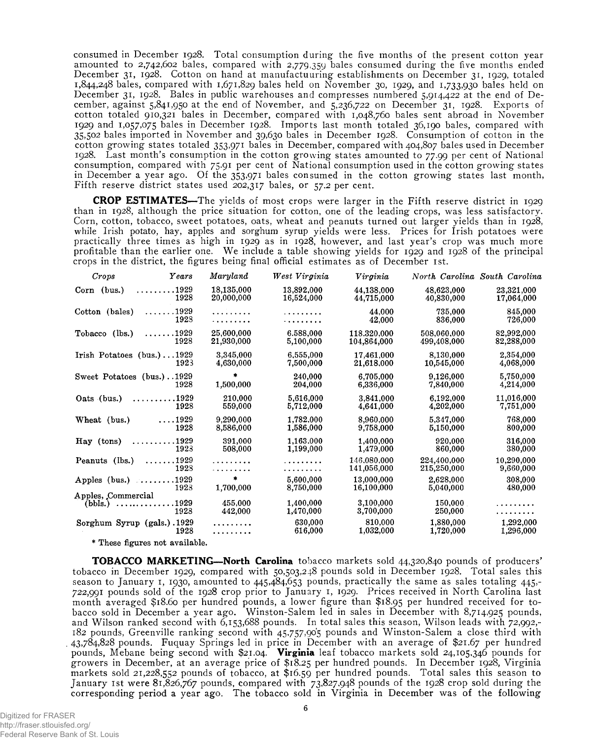consumed in December 1928. Total consumption during the five months of the present cotton year amounted to 2,742,602 bales, compared with 2,779,359 bales consumed during the five months ended December 31, 1928. Cotton on hand at manufactuuring establishments on December 31, 1929, totaled 1 ,844,248 bales, compared with 1,671,829 bales held on November 30, 1929, and 1,733,930 bales held on December 31, 1928. Bales in public warehouses and compresses numbered 5,914,422 at the end of December, against 5,841,950 at the end of November, and 5,236,722 on December 31, 1928. Exports of cotton totaled 910,321 bales in December, compared with 1,048,760 bales sent abroad in November 1929 and 1,057,075 bales in December 1928. Imports last month totaled 36,190 bales, compared with 35,502 bales imported in November and 39,630 bales in December 1928. Consumption of cotton in the cotton growing states totaled 353,971 bales in December, compared with 404,807 bales used in December 1928. Last month's consumption in the cotton growing states amounted to 77.99 per cent of National consumption, compared with 75.91 per cent of National consumption used in the cotton growing states in December a year ago. Of the 353,971 bales consumed in the cotton growing states last month, Fifth reserve district states used 202,317 bales, or 57.2 per cent.

**CROP ESTIMATES**—The yields of most crops were larger in the Fifth reserve district in 1929 than in 1928, although the price situation for cotton, one of the leading crops, was less satisfactory. Corn, cotton, tobacco, sweet potatoes, oats, wheat and peanuts turned out larger yields than in 1928, while Irish potato, hay, apples and sorghum syrup yields were less. Prices for Irish potatoes were practically three times as high in 1929 as in 1928, however, and last year's crop was much more profitable than the earlier one. We include a table showing yields for 1929 and 1928 of the principal crops in the district, the figures being final official estimates as of December 1st.

| Crops                                         | Years                        | Maryland                 | West Virginia            | Virginia                   |                            | North Carolina South Carolina |
|-----------------------------------------------|------------------------------|--------------------------|--------------------------|----------------------------|----------------------------|-------------------------------|
| Corn (bus.)                                   | . 1929<br>1928               | 18.135.000<br>20,000,000 | 13.892.000<br>16,524,000 | 44.138,000<br>44,715,000   | 48.623.000<br>40,830,000   | 23,321,000<br>17,064,000      |
| Cotton (bales)                                | $\dots\dots1929$<br>1928     | .<br>. <b>.</b>          | .<br>. <b>.</b>          | 44.000<br>42,000           | 735,000<br>836,000         | 845,000<br>726,000            |
| Tobacco (lbs.)                                | .1929<br>.<br>1928           | 25.600.000<br>21,930,000 | 6.588.000<br>5,100,000   | 118.320.000<br>104,864,000 | 508.060.000<br>499,408,000 | 82,992,000<br>82,288,000      |
| Irish Potatoes $(bus.) \ldots 1929$           | 1923                         | 3.345,000<br>4.630,000   | 6,555,000<br>7.500.000   | 17,461,000<br>21,618,000   | 8.130,000<br>10,545,000    | 2,354,000<br>4.068.000        |
| Sweet Potatoes (bus.)1929                     | 1928                         | 1,500,000                | 240.000<br>204,000       | 6,705,000<br>6,336,000     | 9.126,000<br>7,840,000     | 5,750,000<br>4,214,000        |
| Oats (bus.)                                   | . 1929<br>1928               | 210.000<br>559,000       | 5.616,000<br>5,712,000   | 3.841,000<br>4,641,000     | 6.192,000<br>4.202,000     | 11,016,000<br>7,751,000       |
| Wheat (bus.)                                  | $\ldots$ 1929<br>1928        | 9.290.000<br>8,586,000   | 1.782.000<br>1,586,000   | 8.960.000<br>9.758,000     | 5,347,000<br>5,150,000     | 768.000<br>800,000            |
| Hay (tons)                                    | .1929<br>.<br>1923           | 391.000<br>508,000       | 1,163.000<br>1,199,000   | 1,400,000<br>1,479,000     | 920.000<br>860,000         | 316,000<br>380,000            |
| Peanuts (lbs.)                                | $\ldots \ldots 1929$<br>1928 |                          | .                        | 146.080.000<br>141.056.000 | 224.400.000<br>215,250,000 | 10.290.000<br>9,660,000       |
| Apples (bus.) $\ldots$                        | 1929<br>1923                 | $\bullet$<br>1,700,000   | 5.600,000<br>8,750,000   | 13,000,000<br>16,100,000   | 2,628,000<br>5,040,000     | 308,000<br>480,000            |
| Apples, Commercial<br>$(bbls.) \ldots \ldots$ | .1929<br>1923                | 455.000<br>442.000       | 1.400,000<br>1,470,000   | 3,100,000<br>3,700,000     | 150.000<br>250,000         | . <b>.</b>                    |
| Sorghum Syrup (gals.).1929                    | 1928                         | .<br>.                   | 630,000<br>616,000       | 810.000<br>1,032,000       | 1.880,000<br>1,720,000     | 1,292,000<br>1,296,000        |

\* These figures not available.

**TOBACCO MARKETING—North Carolina** tobacco markets sold 44,320,840 pounds of producers' tobacco in December 1929, compared with 50,503,248 pounds sold in December 1928. Total sales this season to January 1, 1930, amounted to 445,484,653 pounds, practically the same as sales totaling 445,- 722,991 pounds sold of the 1928 crop prior to January 1, 1929. Prices received in North Carolina last month averaged \$18.60 per hundred pounds, a lower figure than \$18.95 Per hundred received for tobacco sold in December a year ago. Winston-Salem led in sales in December with 8,714,925 pounds, and Wilson ranked second with 6,153,688 pounds. In total sales this season, Wilson leads with 72,992,- 182 pounds, Greenville ranking second with 45,757,905 pounds and Winston-Salem a close third with 43,784,828 pounds. Fuquay Springs led in price in December with an average of \$21.67 per hundred pounds, Mebane being second with \$2 1.04. **Virginia** leaf tobacco markets sold 24,105,346 pounds for growers in December, at an average price of \$18.25 per hundred pounds. In December 1928, Virginia markets sold 21,228,552 pounds of tobacco, at \$16.59 per hundred pounds. Total sales this season to January 1st were 81,826,767 pounds, compared with 73,827,948 pounds of the 1928 crop sold during the corresponding period a year ago. The tobacco sold in Virginia in December was of the following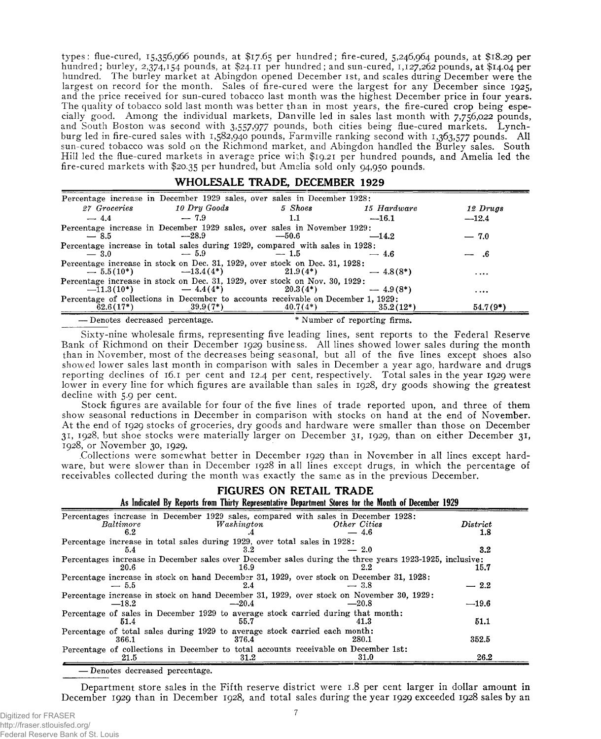types: flue-cured, 15,356,966 pounds, at \$17.65 per hundred; fire-cured, 5,246,964 pounds, at \$18.29 per hundred; burley, 2,374,154 pounds, at \$24.11 per hundred; and sun-cured, 1,127,262 pounds, at \$14.04 per hundred. The burley market at Abingdon opened December 1st, and scales during December were the largest on record for the month. Sales of fire-cured were the largest for any December since 1925, and the price received for sun-cured tobacco last month was the highest December price in four years. The quality of tobacco sold last month was better than in most years, the fire-cured crop being especially good. Among the individual markets, Danville led in sales last month with 7,756,022 pounds, and South Boston was second with 3,557,977 pounds, both cities being flue-cured markets. Lynchburg led in fire-cured sales with 1,582,940 pounds, Farmville ranking second with 1,363,577 pounds. All sun-cured tobacco was sold on the Richmond market, and Abingdon handled the Burley sales. South Hill led the flue-cured markets in average price with \$19.21 per hundred pounds, and Amelia led the fire-cured markets with \$20.35 Per hundred, but Amelia sold only 94,950 pounds.

### **\_\_\_\_\_\_\_\_\_\_\_\_\_\_\_\_\_\_\_\_\_\_\_\_ WHOLESALE TRADE, DECEMBER 1929**

| Percentage increase in December 1929 sales, over sales in December 1928:          |              |            |                              |            |
|-----------------------------------------------------------------------------------|--------------|------------|------------------------------|------------|
| 27 Groceries                                                                      | 10 Dry Goods | 5 Shoes    | 15 Hardware                  | 12 Drugs   |
| $-4.4$                                                                            | $-7.9$       | 1.1        | $-16.1$                      | $-12.4$    |
| Percentage increase in December 1929 sales, over sales in November 1929:          |              |            |                              |            |
| $-8.5$                                                                            | $-28.9$      | $-50.6$    | $-14.2$                      | $-7.0$     |
| Percentage increase in total sales during 1929, compared with sales in 1928;      |              |            |                              |            |
| $-3.0$                                                                            | $-5.9$       | $-1.5$     | $-4.6$                       | - 6        |
| Percentage increase in stock on Dec. 31, 1929, over stock on Dec. 31, 1928:       |              |            |                              |            |
| $-5.5(10^*)$ $-13.4(4^*)$                                                         |              | $21.9(4*)$ | $-4.8(8^*)$                  | $\cdots$   |
| Percentage increase in stock on Dec. 31, 1929, over stock on Nov. 30, 1929:       |              |            |                              |            |
| $-11.3(10^*)$                                                                     | $-4.4(4^*)$  | $20.3(4*)$ | $-4.9(8^*)$                  |            |
| Percentage of collections in December to accounts receivable on December 1, 1929: |              |            |                              |            |
| $62.6(17*)$                                                                       | $39.9(7^*)$  | $40.7(4*)$ | $35.2(12*)$                  | $54.7(9*)$ |
| -Denotes decreased percentage.                                                    |              |            | * Number of reporting firms. |            |

Sixty-nine wholesale firms, representing five leading lines, sent reports to the Federal Reserve Bank of Richmond on their December 1929 business. All lines showed lower sales during the month than in November, most of the decreases being seasonal, but all of the five lines except shoes also showed lower sales last month in comparison with sales in December a year ago, hardware and drugs reporting declines of 16.1 per cent and 12.4 per cent, respectively. Total sales in the year 1929 were lower in every line for which figures are available than sales in 1928, dry goods showing the greatest decline with 5.9 per cent.

Stock figures are available for four of the five lines of trade reported upon, and three of them show seasonal reductions in December in comparison with stocks on hand at the end of November. At the end of 1929 stocks of groceries, dry goods and hardware were smaller than those on December 31, 1928, but shoe stocks were materially larger on December 31, 1929, than on either December 31, 1928, or November 30, 1929.

Collections were somewhat better in December 1929 than in November in all lines except hardware, but were slower than in December 1928 in all lines except drugs, in which the percentage of receivables collected during the month was exactly the same as in the previous December.

| FIGURES ON RETAIL TRADE<br>As Indicated By Reports from Thirty Representative Department Stores for the Month of December 1929                       |                                                               |
|------------------------------------------------------------------------------------------------------------------------------------------------------|---------------------------------------------------------------|
| Percentages increase in December 1929 sales, compared with sales in December 1928:<br><i>Baltimore</i><br>Washington<br>Other Cities<br>6.2<br>— 4.6 | $\boldsymbol{\mathit{D}}\boldsymbol{\mathit{istrict}}$<br>1.8 |
| Percentage increase in total sales during 1929, over total sales in 1928:<br>$-2.0$<br>5.4<br>3.2                                                    | 3.2                                                           |
| Percentages increase in December sales over December sales during the three years 1923-1925, inclusive:<br>20.6<br>2.2<br>16.9                       | 15.7                                                          |
| Percentage increase in stock on hand December 31, 1929, over stock on December 31, 1928:<br>$-5.5$<br>$-3.8$<br>2.4                                  | $-2.2$                                                        |
| Percentage increase in stock on hand December 31, 1929, over stock on November 30, 1929:<br>$-18.2$<br>$-20.4$<br>$-20.8$                            | $-19.6$                                                       |
| Percentage of sales in December 1929 to average stock carried during that month:<br>41.3<br>51.4<br>55.7                                             | 51.1                                                          |
| Percentage of total sales during 1929 to average stock carried each month:<br>280.1<br>366.1<br>376.4                                                | 352.5                                                         |
| Percentage of collections in December to total accounts receivable on December 1st:<br>31.0<br>31.2<br>21.5                                          | 26.2                                                          |

— Denotes decreased percentage.

Department store sales in the Fifth reserve district were 1.8 per cent larger in dollar amount in December 1929 than in December 1928, and total sales during the year 1929 exceeded 1928 sales by an